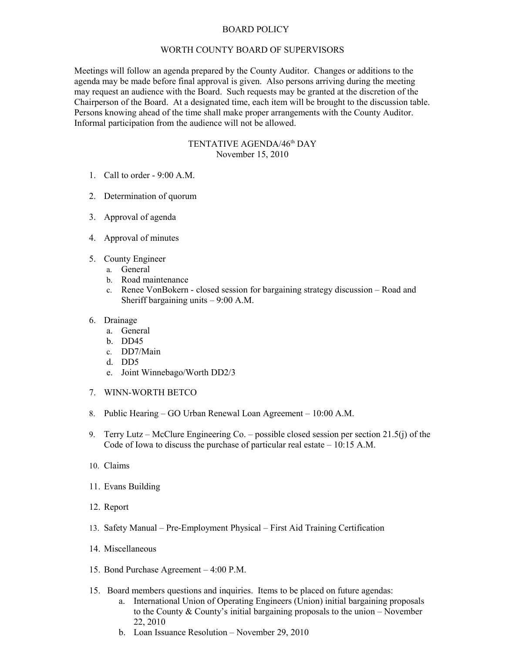## BOARD POLICY

## WORTH COUNTY BOARD OF SUPERVISORS

Meetings will follow an agenda prepared by the County Auditor. Changes or additions to the agenda may be made before final approval is given. Also persons arriving during the meeting may request an audience with the Board. Such requests may be granted at the discretion of the Chairperson of the Board. At a designated time, each item will be brought to the discussion table. Persons knowing ahead of the time shall make proper arrangements with the County Auditor. Informal participation from the audience will not be allowed.

## TENTATIVE AGENDA/46<sup>th</sup> DAY November 15, 2010

- 1. Call to order 9:00 A.M.
- 2. Determination of quorum
- 3. Approval of agenda
- 4. Approval of minutes
- 5. County Engineer
	- a. General
	- b. Road maintenance
	- c. Renee VonBokern closed session for bargaining strategy discussion Road and Sheriff bargaining units – 9:00 A.M.
- 6. Drainage
	- a. General
	- b. DD45
	- c. DD7/Main
	- d. DD5
	- e. Joint Winnebago/Worth DD2/3
- 7. WINN-WORTH BETCO
- 8. Public Hearing GO Urban Renewal Loan Agreement 10:00 A.M.
- 9. Terry Lutz McClure Engineering Co. possible closed session per section 21.5(j) of the Code of Iowa to discuss the purchase of particular real estate – 10:15 A.M.
- 10. Claims
- 11. Evans Building
- 12. Report
- 13. Safety Manual Pre-Employment Physical First Aid Training Certification
- 14. Miscellaneous
- 15. Bond Purchase Agreement 4:00 P.M.
- 15. Board members questions and inquiries. Items to be placed on future agendas:
	- a. International Union of Operating Engineers (Union) initial bargaining proposals to the County & County's initial bargaining proposals to the union – November 22, 2010
	- b. Loan Issuance Resolution November 29, 2010